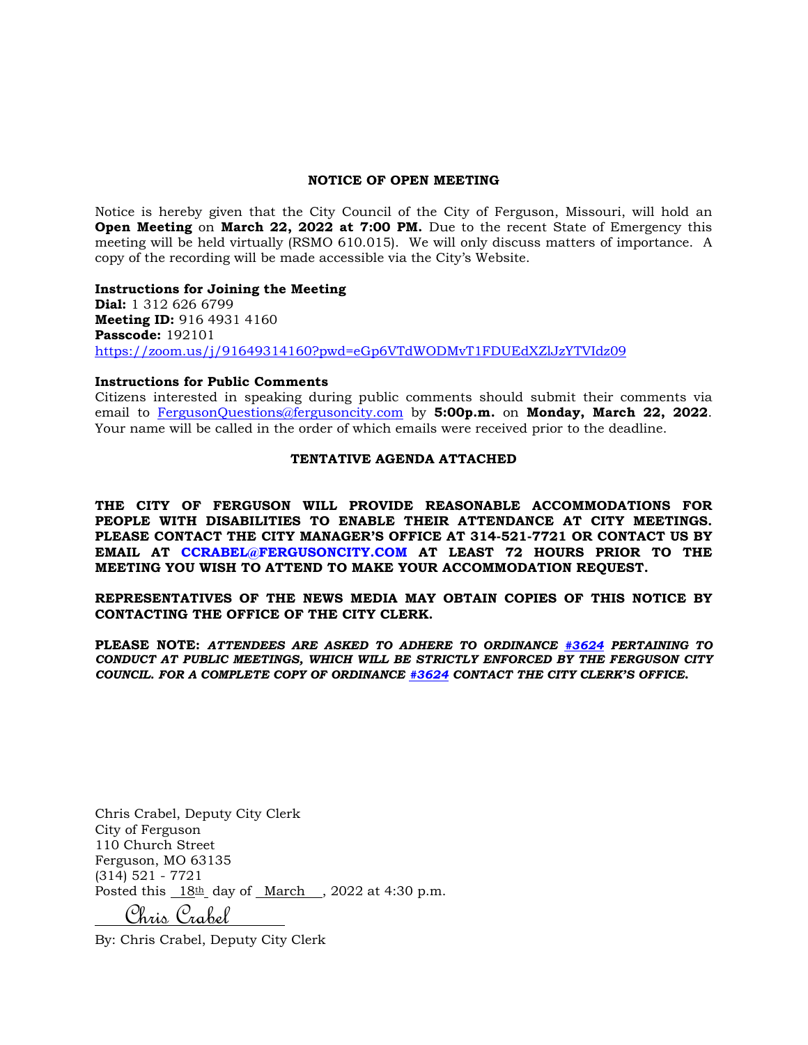#### **NOTICE OF OPEN MEETING**

Notice is hereby given that the City Council of the City of Ferguson, Missouri, will hold an **Open Meeting** on **March 22, 2022 at 7:00 PM.** Due to the recent State of Emergency this meeting will be held virtually (RSMO 610.015). We will only discuss matters of importance. A copy of the recording will be made accessible via the City's Website.

**Instructions for Joining the Meeting Dial:** 1 312 626 6799 **Meeting ID:** 916 4931 4160 **Passcode:** 192101 <https://zoom.us/j/91649314160?pwd=eGp6VTdWODMvT1FDUEdXZlJzYTVIdz09>

#### **Instructions for Public Comments**

Citizens interested in speaking during public comments should submit their comments via email to [FergusonQuestions@fergusoncity.com](mailto:FergusonQuestions@fergusoncity.com) by **5:00p.m.** on **Monday, March 22, 2022**. Your name will be called in the order of which emails were received prior to the deadline.

#### **TENTATIVE AGENDA ATTACHED**

**THE CITY OF FERGUSON WILL PROVIDE REASONABLE ACCOMMODATIONS FOR PEOPLE WITH DISABILITIES TO ENABLE THEIR ATTENDANCE AT CITY MEETINGS. PLEASE CONTACT THE CITY MANAGER'S OFFICE AT 314-521-7721 OR CONTACT US BY EMAIL AT CCRABEL@FERGUSONCITY.COM AT LEAST 72 HOURS PRIOR TO THE MEETING YOU WISH TO ATTEND TO MAKE YOUR ACCOMMODATION REQUEST.**

### **REPRESENTATIVES OF THE NEWS MEDIA MAY OBTAIN COPIES OF THIS NOTICE BY CONTACTING THE OFFICE OF THE CITY CLERK.**

**PLEASE NOTE:** *ATTENDEES ARE ASKED TO ADHERE TO ORDINANCE [#3624](https://www.fergusoncity.com/DocumentCenter/View/3634/Ord-2016-3624-Amending-Chapt-2-addition-of-Sec-2-32-Conduct-at-Public-Mtgs) PERTAINING TO CONDUCT AT PUBLIC MEETINGS, WHICH WILL BE STRICTLY ENFORCED BY THE FERGUSON CITY COUNCIL. FOR A COMPLETE COPY OF ORDINANCE [#3624](https://www.fergusoncity.com/DocumentCenter/View/3634/Ord-2016-3624-Amending-Chapt-2-addition-of-Sec-2-32-Conduct-at-Public-Mtgs) CONTACT THE CITY CLERK'S OFFICE***.**

Chris Crabel, Deputy City Clerk City of Ferguson 110 Church Street Ferguson, MO 63135 (314) 521 - 7721 Posted this  $18th$  day of March, 2022 at 4:30 p.m.

Chris Crabel

By: Chris Crabel, Deputy City Clerk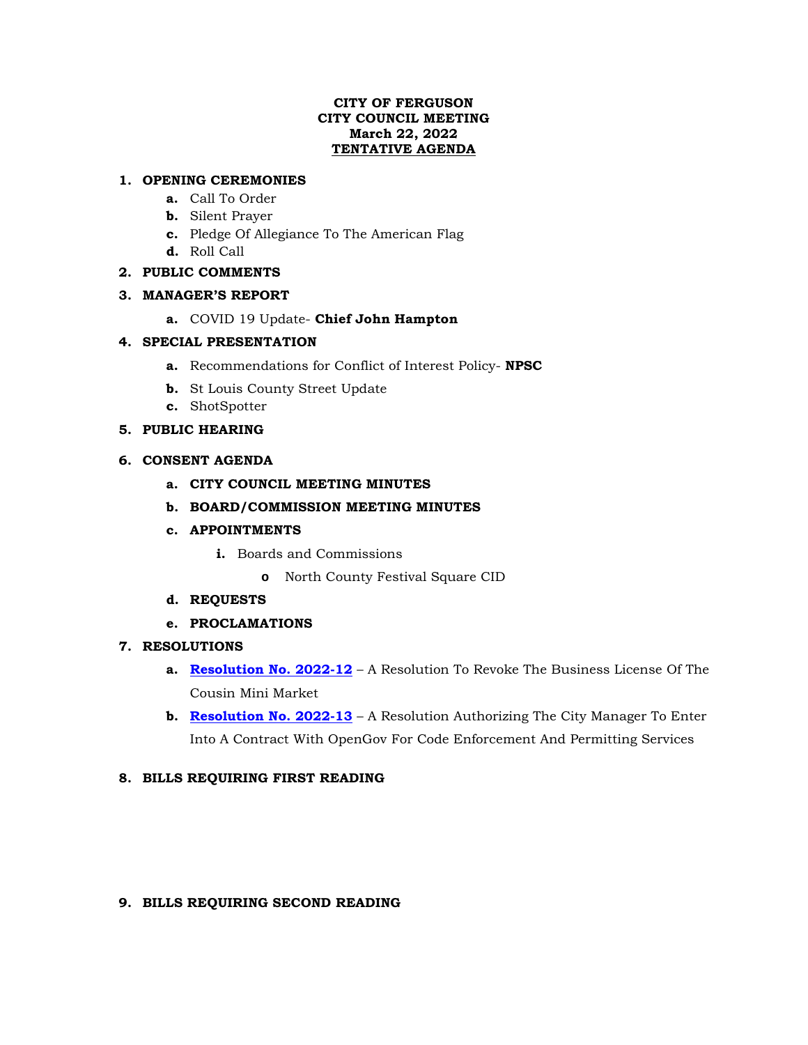## **CITY OF FERGUSON CITY COUNCIL MEETING March 22, 2022 TENTATIVE AGENDA**

# **1. OPENING CEREMONIES**

- **a.** Call To Order
- **b.** Silent Prayer
- **c.** Pledge Of Allegiance To The American Flag
- **d.** Roll Call

# **2. PUBLIC COMMENTS**

## **3. MANAGER'S REPORT**

**a.** COVID 19 Update- **Chief John Hampton**

# **4. SPECIAL PRESENTATION**

- **a.** Recommendations for Conflict of Interest Policy- **NPSC**
- **b.** St Louis County Street Update
- **c.** ShotSpotter

# **5. PUBLIC HEARING**

## **6. CONSENT AGENDA**

- **a. CITY COUNCIL MEETING MINUTES**
- **b. BOARD/COMMISSION MEETING MINUTES**
- **c. APPOINTMENTS**
	- **i.** Boards and Commissions
		- **o** North County Festival Square CID
- **d. REQUESTS**
- **e. PROCLAMATIONS**

### **7. RESOLUTIONS**

- **a. Resolution [No. 2022-12](https://www.fergusoncity.com/DocumentCenter/View/5682/Ferguson---Resolution-to-Revoke-Business-License-of-Cousin-Mini-Market1)** A Resolution To Revoke The Business License Of The Cousin Mini Market
- **b. [Resolution No. 2022-13](https://www.fergusoncity.com/DocumentCenter/View/5681/Ferguson---Resolution-for-OpenGov1)** A Resolution Authorizing The City Manager To Enter Into A Contract With OpenGov For Code Enforcement And Permitting Services

## **8. BILLS REQUIRING FIRST READING**

### **9. BILLS REQUIRING SECOND READING**